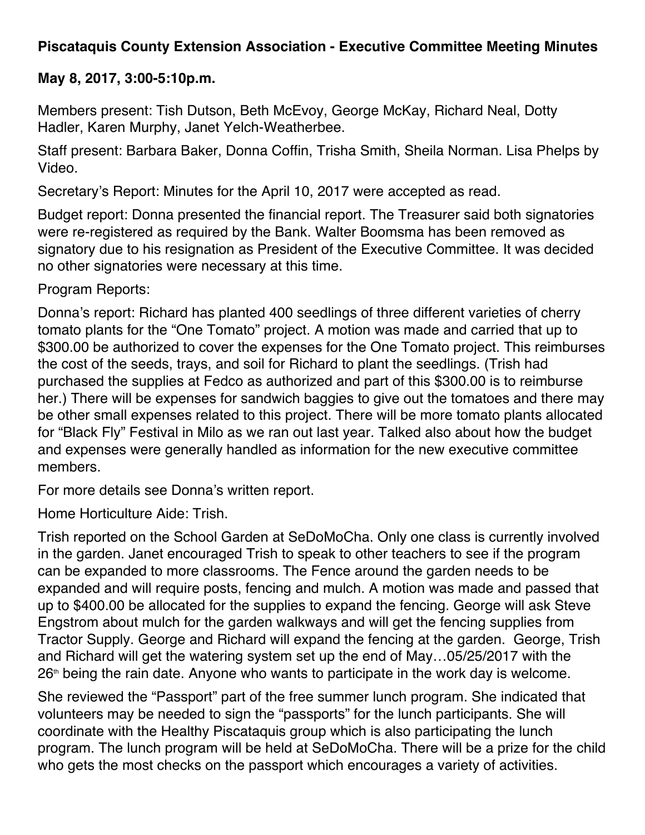## **Piscataquis County Extension Association - Executive Committee Meeting Minutes**

## **May 8, 2017, 3:00-5:10p.m.**

Members present: Tish Dutson, Beth McEvoy, George McKay, Richard Neal, Dotty Hadler, Karen Murphy, Janet Yelch-Weatherbee.

Staff present: Barbara Baker, Donna Coffin, Trisha Smith, Sheila Norman. Lisa Phelps by Video.

Secretary's Report: Minutes for the April 10, 2017 were accepted as read.

Budget report: Donna presented the financial report. The Treasurer said both signatories were re-registered as required by the Bank. Walter Boomsma has been removed as signatory due to his resignation as President of the Executive Committee. It was decided no other signatories were necessary at this time.

Program Reports:

Donna's report: Richard has planted 400 seedlings of three different varieties of cherry tomato plants for the "One Tomato" project. A motion was made and carried that up to \$300.00 be authorized to cover the expenses for the One Tomato project. This reimburses the cost of the seeds, trays, and soil for Richard to plant the seedlings. (Trish had purchased the supplies at Fedco as authorized and part of this \$300.00 is to reimburse her.) There will be expenses for sandwich baggies to give out the tomatoes and there may be other small expenses related to this project. There will be more tomato plants allocated for "Black Fly" Festival in Milo as we ran out last year. Talked also about how the budget and expenses were generally handled as information for the new executive committee members.

For more details see Donna's written report.

Home Horticulture Aide: Trish.

Trish reported on the School Garden at SeDoMoCha. Only one class is currently involved in the garden. Janet encouraged Trish to speak to other teachers to see if the program can be expanded to more classrooms. The Fence around the garden needs to be expanded and will require posts, fencing and mulch. A motion was made and passed that up to \$400.00 be allocated for the supplies to expand the fencing. George will ask Steve Engstrom about mulch for the garden walkways and will get the fencing supplies from Tractor Supply. George and Richard will expand the fencing at the garden. George, Trish and Richard will get the watering system set up the end of May…05/25/2017 with the  $26<sup>th</sup>$  being the rain date. Anyone who wants to participate in the work day is welcome.

She reviewed the "Passport" part of the free summer lunch program. She indicated that volunteers may be needed to sign the "passports" for the lunch participants. She will coordinate with the Healthy Piscataquis group which is also participating the lunch program. The lunch program will be held at SeDoMoCha. There will be a prize for the child who gets the most checks on the passport which encourages a variety of activities.